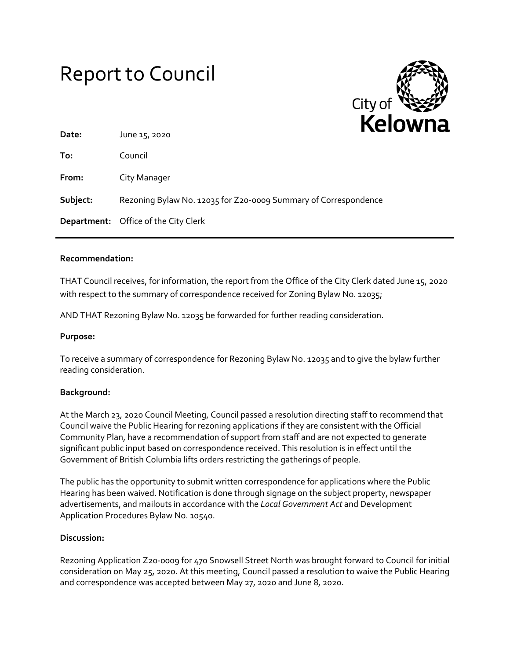# Report to Council



| Date:    | .<br>June 15, 2020                                              |
|----------|-----------------------------------------------------------------|
| To:      | Council                                                         |
| From:    | City Manager                                                    |
| Subject: | Rezoning Bylaw No. 12035 for Z20-0009 Summary of Correspondence |
|          | <b>Department:</b> Office of the City Clerk                     |

## **Recommendation:**

THAT Council receives, for information, the report from the Office of the City Clerk dated June 15, 2020 with respect to the summary of correspondence received for Zoning Bylaw No. 12035;

AND THAT Rezoning Bylaw No. 12035 be forwarded for further reading consideration.

#### **Purpose:**

To receive a summary of correspondence for Rezoning Bylaw No. 12035 and to give the bylaw further reading consideration.

#### **Background:**

At the March 23, 2020 Council Meeting, Council passed a resolution directing staff to recommend that Council waive the Public Hearing for rezoning applications if they are consistent with the Official Community Plan, have a recommendation of support from staff and are not expected to generate significant public input based on correspondence received. This resolution is in effect until the Government of British Columbia lifts orders restricting the gatherings of people.

The public has the opportunity to submit written correspondence for applications where the Public Hearing has been waived. Notification is done through signage on the subject property, newspaper advertisements, and mailouts in accordance with the *Local Government Act* and Development Application Procedures Bylaw No. 10540.

#### **Discussion:**

Rezoning Application Z20-0009 for 470 Snowsell Street North was brought forward to Council for initial consideration on May 25, 2020. At this meeting, Council passed a resolution to waive the Public Hearing and correspondence was accepted between May 27, 2020 and June 8, 2020.